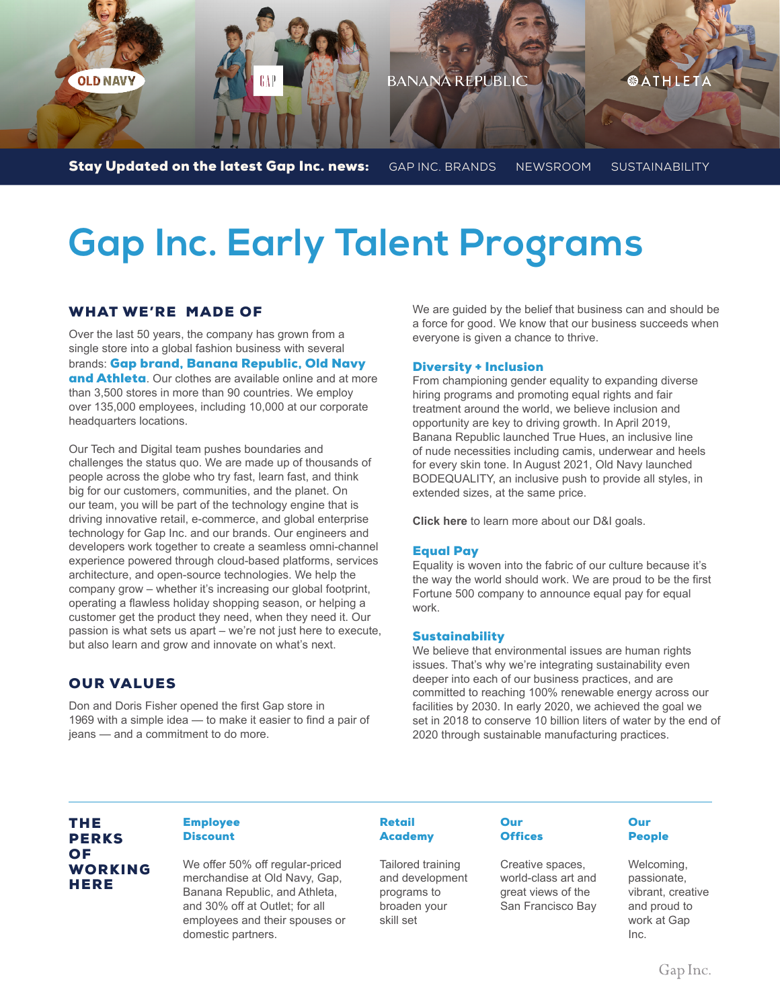

# **Gap Inc. Early Talent Programs**

## WHAT WE'RE MADE OF

Over the last 50 years, the company has grown from a single store into a global fashion business with several brands: Gap brand, Banana Republic, Old Navy and Athleta. Our clothes are available online and at more than 3,500 stores in more than 90 countries. We employ over 135,000 employees, including 10,000 at our corporate headquarters locations.

Our Tech and Digital team pushes boundaries and challenges the status quo. We are made up of thousands of people across the globe who try fast, learn fast, and think big for our customers, communities, and the planet. On our team, you will be part of the technology engine that is driving innovative retail, e-commerce, and global enterprise technology for Gap Inc. and our brands. Our engineers and developers work together to create a seamless omni-channel experience powered through cloud-based platforms, services architecture, and open-source technologies. We help the company grow – whether it's increasing our global footprint, operating a flawless holiday shopping season, or helping a customer get the product they need, when they need it. Our passion is what sets us apart – we're not just here to execute, but also learn and grow and innovate on what's next.

### OUR VALUES

Don and Doris Fisher opened the first Gap store in 1969 with a simple idea — to make it easier to find a pair of ieans - and a commitment to do more.

We are guided by the belief that business can and should be a force for good. We know that our business succeeds when everyone is given a chance to thrive.

#### Diversity + Inclusion

From championing gender equality to expanding diverse hiring programs and promoting equal rights and fair treatment around the world, we believe inclusion and opportunity are key to driving growth. In April 2019, Banana Republic launched True Hues, an inclusive line of nude necessities including camis, underwear and heels for every skin tone. In August 2021, Old Navy launched BODEQUALITY, an inclusive push to provide all styles, in extended sizes, at the same price.

**Click here** to learn more about our D&I goals.

#### Equal Pay

Equality is woven into the fabric of our culture because it's the way the world should work. We are proud to be the first Fortune 500 company to announce equal pay for equal work.

#### **Sustainability**

We believe that environmental issues are human rights issues. That's why we're integrating sustainability even deeper into each of our business practices, and are committed to reaching 100% renewable energy across our facilities by 2030. In early 2020, we achieved the goal we set in 2018 to conserve 10 billion liters of water by the end of 2020 through sustainable manufacturing practices.

## THE PERKS OF WORKING **HERE**

#### Employee **Discount**

We offer 50% off regular-priced merchandise at Old Navy, Gap, Banana Republic, and Athleta, and 30% off at Outlet; for all employees and their spouses or domestic partners.

#### Retail **Academy**

Tailored training and development programs to broaden your skill set

#### Our **Offices**

Creative spaces, world-class art and great views of the San Francisco Bay

#### **Our** People

Welcoming, passionate, vibrant, creative and proud to work at Gap Inc.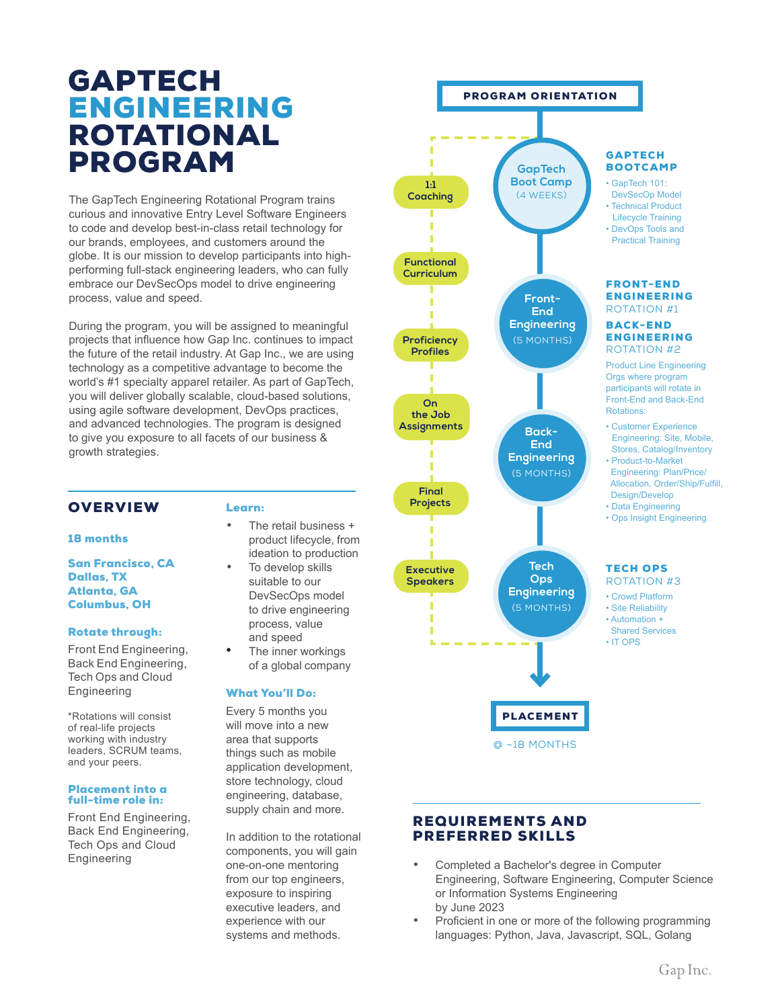## GAPTECH ENGINEERING ROTATIONAL

The GapTech Engineering Rotational Program trains curious and innovative Entry Level Software Engineers to code and develop best-in-class retail technology for our brands, employees, and customers around the globe. It is our mission to develop participants into highperforming full-stack engineering leaders, who can fully embrace our DevSecOps model to drive engineering process, value and speed.

During the program, you will be assigned to meaningful projects that influence how Gap Inc. continues to impact the future of the retail industry. At Gap Inc., we are using technology as a competitive advantage to become the world's #1 specialty apparel retailer. As part of GapTech, you will deliver globally scalable, cloud-based solutions, using agile software development, DevOps practices, and advanced technologies. The program is designed to give you exposure to all facets of our business & growth strategies.

## **OVERVIEW**

#### 18 months

San Francisco, CA Dallas, TX Atlanta, GA Columbus, OH

#### Rotate through:

Front End Engineering, Back End Engineering, Tech Ops and Cloud Engineering

\*Rotations will consist of real-life projects working with industry leaders, SCRUM teams, and your peers.

#### Placement into a full-time role in:

Front End Engineering, Back End Engineering, Tech Ops and Cloud Engineering

#### Learn:

- The retail business + product lifecycle, from ideation to production
- To develop skills suitable to our DevSecOps model to drive engineering process, value and speed
- The inner workings of a global company

### What You'll Do:

Every 5 months you will move into a new area that supports things such as mobile application development, store technology, cloud engineering, database, supply chain and more.

In addition to the rotational components, you will gain one-on-one mentoring from our top engineers, exposure to inspiring executive leaders, and experience with our systems and methods.



## REQUIREMENTS AND PREFERRED SKILLS

- Completed a Bachelor's degree in Computer Engineering, Software Engineering, Computer Science or Information Systems Engineering by June 2023
- Proficient in one or more of the following programming languages: Python, Java, Javascript, SQL, Golang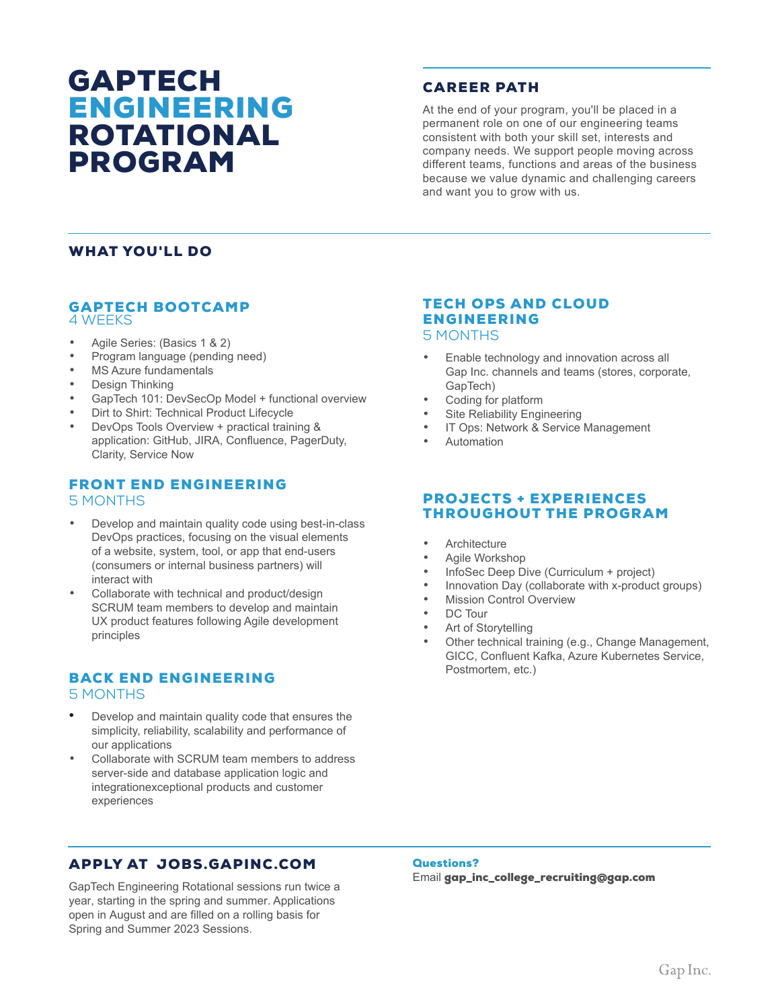## GAPTECH ENGINEERING ROTATIONAL PROGRAM

## CAREER PATH

At the end of your program, you'll be placed in a permanent role on one of our engineering teams consistent with both your skill set, interests and company needs. We support people moving across different teams, functions and areas of the business because we value dynamic and challenging careers and want you to grow with us.

## WHAT YOU'LL DO

#### GAPTECH BOOTCAMP 4 WEEKS

- Agile Series: (Basics 1 & 2)<br>• Program Janguage (pending
- Program language (pending need)
- MS Azure fundamentals
- Design Thinking
- GapTech 101: DevSecOp Model + functional overview
- Dirt to Shirt: Technical Product Lifecycle
- DevOps Tools Overview + practical training & application: GitHub, JIRA, Confluence, PagerDuty, Clarity, Service Now

## FRONT END ENGINEERING

#### 5 MONTHS

- Develop and maintain quality code using best-in-class DevOps practices, focusing on the visual elements of a website, system, tool, or app that end-users (consumers or internal business partners) will interact with
- Collaborate with technical and product/design SCRUM team members to develop and maintain UX product features following Agile development principles

## BACK END ENGINEERING

#### 5 MONTHS

- Develop and maintain quality code that ensures the simplicity, reliability, scalability and performance of our applications
- Collaborate with SCRUM team members to address server-side and database application logic and integrationexceptional products and customer experiences

## TECH OPS AND CLOUD ENGINEERING

## 5 MONTHS

- Enable technology and innovation across all Gap Inc. channels and teams (stores, corporate, GapTech)
- Coding for platform
- Site Reliability Engineering
- IT Ops: Network & Service Management
- Automation

## PROJECTS + EXPERIENCES THROUGHOUT THE PROGRAM

- **Architecture**
- Agile Workshop
- InfoSec Deep Dive (Curriculum + project)
- Innovation Day (collaborate with x-product groups)
- **Mission Control Overview**
- DC Tour
- Art of Storytelling
- Other technical training (e.g., Change Management, GICC, Confluent Kafka, Azure Kubernetes Service, Postmortem, etc.)

## APPLY AT JOBS.GAPINC.COM

GapTech Engineering Rotational sessions run twice a year, starting in the spring and summer. Applications open in August and are filled on a rolling basis for Spring and Summer 2023 Sessions.

#### Questions?

Email gap\_inc\_college\_recruiting@gap.com